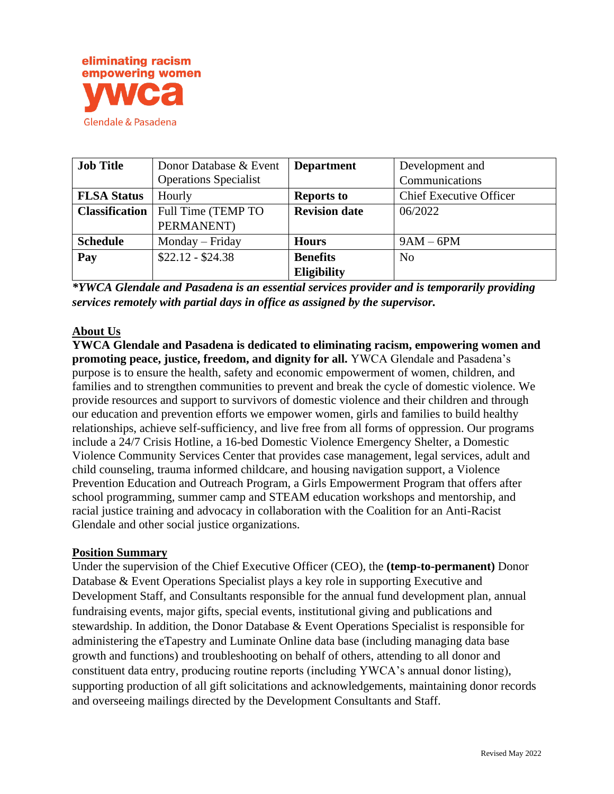

| <b>Job Title</b>      | Donor Database & Event       | <b>Department</b>    | Development and                |
|-----------------------|------------------------------|----------------------|--------------------------------|
|                       | <b>Operations Specialist</b> |                      | Communications                 |
| <b>FLSA Status</b>    | Hourly                       | <b>Reports to</b>    | <b>Chief Executive Officer</b> |
| <b>Classification</b> | Full Time (TEMP TO           | <b>Revision date</b> | 06/2022                        |
|                       | PERMANENT)                   |                      |                                |
| <b>Schedule</b>       | Monday – Friday              | <b>Hours</b>         | $9AM - 6PM$                    |
| Pay                   | $$22.12 - $24.38$            | <b>Benefits</b>      | N <sub>0</sub>                 |
|                       |                              | <b>Eligibility</b>   |                                |

*\*YWCA Glendale and Pasadena is an essential services provider and is temporarily providing services remotely with partial days in office as assigned by the supervisor.*

## **About Us**

**YWCA Glendale and Pasadena is dedicated to eliminating racism, empowering women and promoting peace, justice, freedom, and dignity for all.** YWCA Glendale and Pasadena's purpose is to ensure the health, safety and economic empowerment of women, children, and families and to strengthen communities to prevent and break the cycle of domestic violence. We provide resources and support to survivors of domestic violence and their children and through our education and prevention efforts we empower women, girls and families to build healthy relationships, achieve self-sufficiency, and live free from all forms of oppression. Our programs include a 24/7 Crisis Hotline, a 16-bed Domestic Violence Emergency Shelter, a Domestic Violence Community Services Center that provides case management, legal services, adult and child counseling, trauma informed childcare, and housing navigation support, a Violence Prevention Education and Outreach Program, a Girls Empowerment Program that offers after school programming, summer camp and STEAM education workshops and mentorship, and racial justice training and advocacy in collaboration with the Coalition for an Anti-Racist Glendale and other social justice organizations.

#### **Position Summary**

Under the supervision of the Chief Executive Officer (CEO), the **(temp-to-permanent)** Donor Database & Event Operations Specialist plays a key role in supporting Executive and Development Staff, and Consultants responsible for the annual fund development plan, annual fundraising events, major gifts, special events, institutional giving and publications and stewardship. In addition, the Donor Database & Event Operations Specialist is responsible for administering the eTapestry and Luminate Online data base (including managing data base growth and functions) and troubleshooting on behalf of others, attending to all donor and constituent data entry, producing routine reports (including YWCA's annual donor listing), supporting production of all gift solicitations and acknowledgements, maintaining donor records and overseeing mailings directed by the Development Consultants and Staff.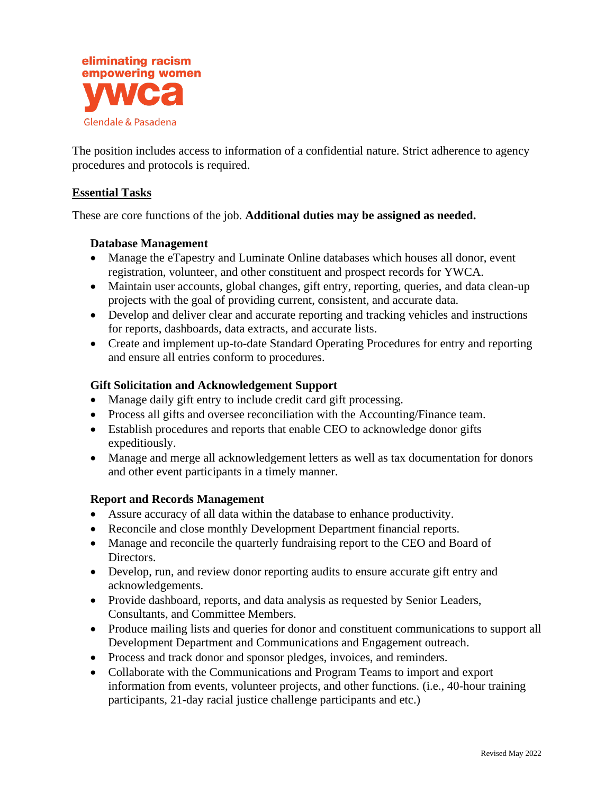

The position includes access to information of a confidential nature. Strict adherence to agency procedures and protocols is required.

### **Essential Tasks**

These are core functions of the job. **Additional duties may be assigned as needed.**

#### **Database Management**

- Manage the eTapestry and Luminate Online databases which houses all donor, event registration, volunteer, and other constituent and prospect records for YWCA.
- Maintain user accounts, global changes, gift entry, reporting, queries, and data clean-up projects with the goal of providing current, consistent, and accurate data.
- Develop and deliver clear and accurate reporting and tracking vehicles and instructions for reports, dashboards, data extracts, and accurate lists.
- Create and implement up-to-date Standard Operating Procedures for entry and reporting and ensure all entries conform to procedures.

### **Gift Solicitation and Acknowledgement Support**

- Manage daily gift entry to include credit card gift processing.
- Process all gifts and oversee reconciliation with the Accounting/Finance team.
- Establish procedures and reports that enable CEO to acknowledge donor gifts expeditiously.
- Manage and merge all acknowledgement letters as well as tax documentation for donors and other event participants in a timely manner.

## **Report and Records Management**

- Assure accuracy of all data within the database to enhance productivity.
- Reconcile and close monthly Development Department financial reports.
- Manage and reconcile the quarterly fundraising report to the CEO and Board of Directors.
- Develop, run, and review donor reporting audits to ensure accurate gift entry and acknowledgements.
- Provide dashboard, reports, and data analysis as requested by Senior Leaders, Consultants, and Committee Members.
- Produce mailing lists and queries for donor and constituent communications to support all Development Department and Communications and Engagement outreach.
- Process and track donor and sponsor pledges, invoices, and reminders.
- Collaborate with the Communications and Program Teams to import and export information from events, volunteer projects, and other functions. (i.e., 40-hour training participants, 21-day racial justice challenge participants and etc.)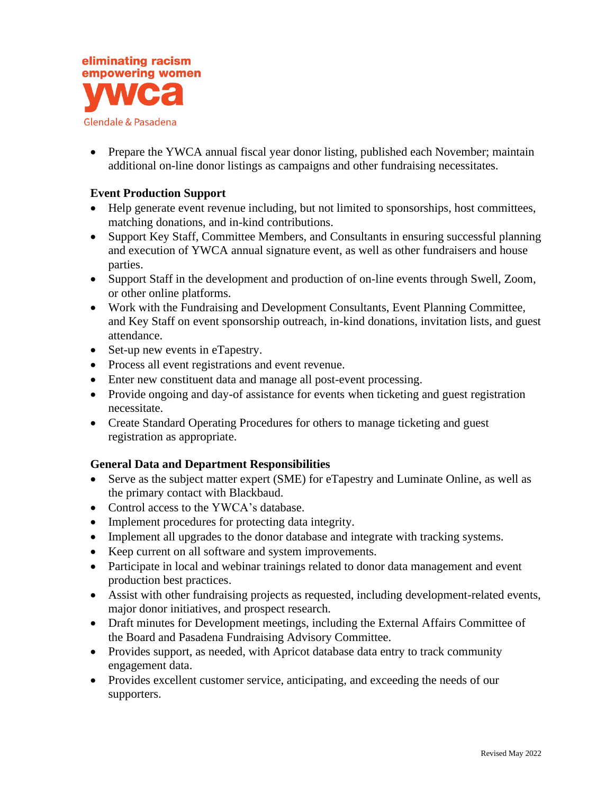

• Prepare the YWCA annual fiscal year donor listing, published each November; maintain additional on-line donor listings as campaigns and other fundraising necessitates.

## **Event Production Support**

- Help generate event revenue including, but not limited to sponsorships, host committees, matching donations, and in-kind contributions.
- Support Key Staff, Committee Members, and Consultants in ensuring successful planning and execution of YWCA annual signature event, as well as other fundraisers and house parties.
- Support Staff in the development and production of on-line events through Swell, Zoom, or other online platforms.
- Work with the Fundraising and Development Consultants, Event Planning Committee, and Key Staff on event sponsorship outreach, in-kind donations, invitation lists, and guest attendance.
- Set-up new events in eTapestry.
- Process all event registrations and event revenue.
- Enter new constituent data and manage all post-event processing.
- Provide ongoing and day-of assistance for events when ticketing and guest registration necessitate.
- Create Standard Operating Procedures for others to manage ticketing and guest registration as appropriate.

#### **General Data and Department Responsibilities**

- Serve as the subject matter expert (SME) for eTapestry and Luminate Online, as well as the primary contact with Blackbaud.
- Control access to the YWCA's database.
- Implement procedures for protecting data integrity.
- Implement all upgrades to the donor database and integrate with tracking systems.
- Keep current on all software and system improvements.
- Participate in local and webinar trainings related to donor data management and event production best practices.
- Assist with other fundraising projects as requested, including development-related events, major donor initiatives, and prospect research.
- Draft minutes for Development meetings, including the External Affairs Committee of the Board and Pasadena Fundraising Advisory Committee.
- Provides support, as needed, with Apricot database data entry to track community engagement data.
- Provides excellent customer service, anticipating, and exceeding the needs of our supporters.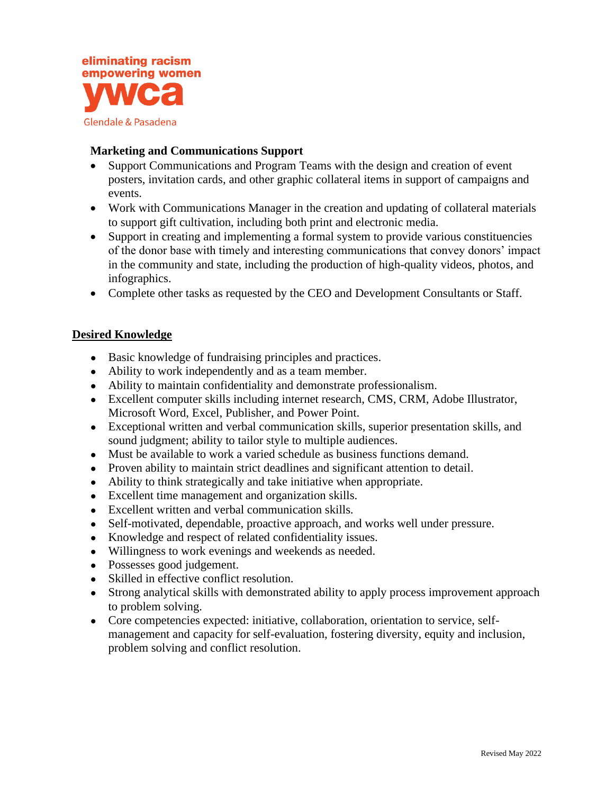

### **Marketing and Communications Support**

- Support Communications and Program Teams with the design and creation of event posters, invitation cards, and other graphic collateral items in support of campaigns and events.
- Work with Communications Manager in the creation and updating of collateral materials to support gift cultivation, including both print and electronic media.
- Support in creating and implementing a formal system to provide various constituencies of the donor base with timely and interesting communications that convey donors' impact in the community and state, including the production of high-quality videos, photos, and infographics.
- Complete other tasks as requested by the CEO and Development Consultants or Staff.

## **Desired Knowledge**

- Basic knowledge of fundraising principles and practices.
- Ability to work independently and as a team member.
- Ability to maintain confidentiality and demonstrate professionalism.
- Excellent computer skills including internet research, CMS, CRM, Adobe Illustrator, Microsoft Word, Excel, Publisher, and Power Point.
- Exceptional written and verbal communication skills, superior presentation skills, and sound judgment; ability to tailor style to multiple audiences.
- Must be available to work a varied schedule as business functions demand.
- Proven ability to maintain strict deadlines and significant attention to detail.
- Ability to think strategically and take initiative when appropriate.
- Excellent time management and organization skills.
- Excellent written and verbal communication skills.
- Self-motivated, dependable, proactive approach, and works well under pressure.
- Knowledge and respect of related confidentiality issues.
- Willingness to work evenings and weekends as needed.
- Possesses good judgement.
- Skilled in effective conflict resolution.
- Strong analytical skills with demonstrated ability to apply process improvement approach to problem solving.
- Core competencies expected: initiative, collaboration, orientation to service, selfmanagement and capacity for self-evaluation, fostering diversity, equity and inclusion, problem solving and conflict resolution.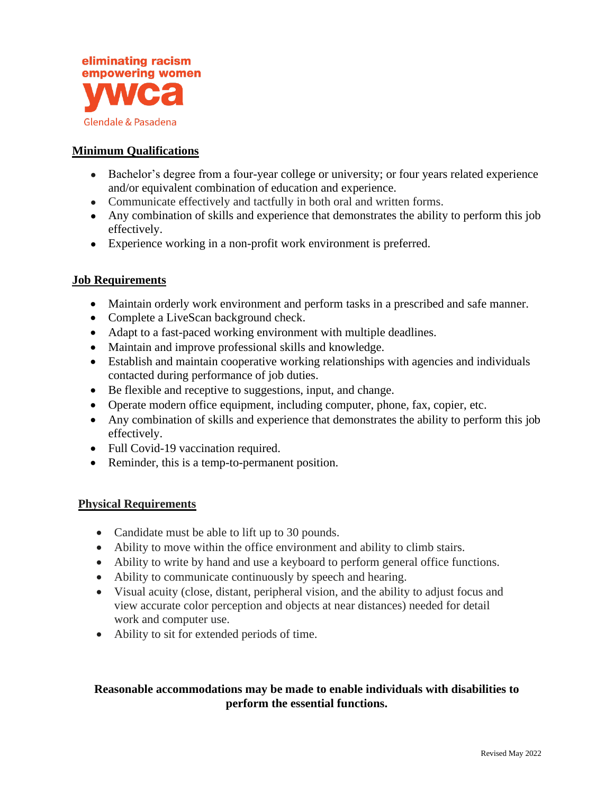

## **Minimum Qualifications**

- Bachelor's degree from a four-year college or university; or four years related experience and/or equivalent combination of education and experience.
- Communicate effectively and tactfully in both oral and written forms.
- Any combination of skills and experience that demonstrates the ability to perform this job effectively.
- Experience working in a non-profit work environment is preferred.

### **Job Requirements**

- Maintain orderly work environment and perform tasks in a prescribed and safe manner.
- Complete a LiveScan background check.
- Adapt to a fast-paced working environment with multiple deadlines.
- Maintain and improve professional skills and knowledge.
- Establish and maintain cooperative working relationships with agencies and individuals contacted during performance of job duties.
- Be flexible and receptive to suggestions, input, and change.
- Operate modern office equipment, including computer, phone, fax, copier, etc.
- Any combination of skills and experience that demonstrates the ability to perform this job effectively.
- Full Covid-19 vaccination required.
- Reminder, this is a temp-to-permanent position.

#### **Physical Requirements**

- Candidate must be able to lift up to 30 pounds.
- Ability to move within the office environment and ability to climb stairs.
- Ability to write by hand and use a keyboard to perform general office functions.
- Ability to communicate continuously by speech and hearing.
- Visual acuity (close, distant, peripheral vision, and the ability to adjust focus and view accurate color perception and objects at near distances) needed for detail work and computer use.
- Ability to sit for extended periods of time.

# **Reasonable accommodations may be made to enable individuals with disabilities to perform the essential functions.**